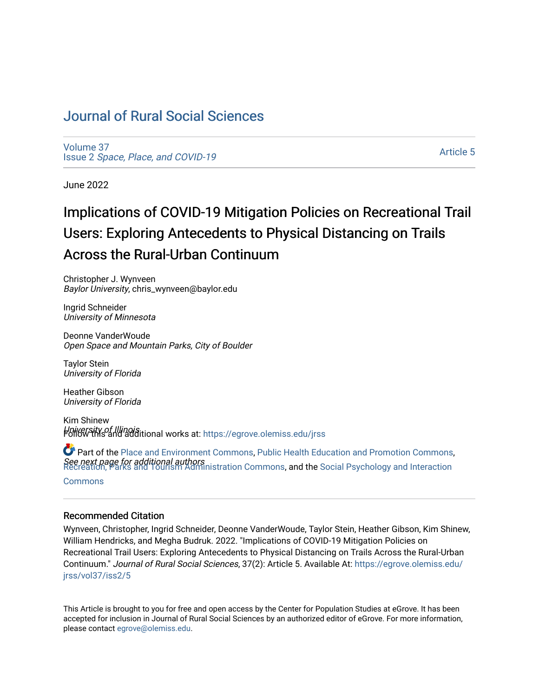# [Journal of Rural Social Sciences](https://egrove.olemiss.edu/jrss)

[Volume 37](https://egrove.olemiss.edu/jrss/vol37) Issue 2 [Space, Place, and COVID-19](https://egrove.olemiss.edu/jrss/vol37/iss2)

[Article 5](https://egrove.olemiss.edu/jrss/vol37/iss2/5) 

June 2022

# Implications of COVID-19 Mitigation Policies on Recreational Trail Users: Exploring Antecedents to Physical Distancing on Trails Across the Rural-Urban Continuum

Christopher J. Wynveen Baylor University, chris\_wynveen@baylor.edu

Ingrid Schneider University of Minnesota

Deonne VanderWoude Open Space and Mountain Parks, City of Boulder

Taylor Stein University of Florida

Heather Gibson University of Florida

Kim Shinew *Hniversity of Illinoisitional works at: https://egrove.olemiss.edu/jrss* 

**See next page for additional authors**<br>Recreation, Parks and Tourism Administration Commons**, and the** Social Psychology and Interaction Part of the [Place and Environment Commons,](https://network.bepress.com/hgg/discipline/424?utm_source=egrove.olemiss.edu%2Fjrss%2Fvol37%2Fiss2%2F5&utm_medium=PDF&utm_campaign=PDFCoverPages) [Public Health Education and Promotion Commons](https://network.bepress.com/hgg/discipline/743?utm_source=egrove.olemiss.edu%2Fjrss%2Fvol37%2Fiss2%2F5&utm_medium=PDF&utm_campaign=PDFCoverPages),

**[Commons](https://network.bepress.com/hgg/discipline/430?utm_source=egrove.olemiss.edu%2Fjrss%2Fvol37%2Fiss2%2F5&utm_medium=PDF&utm_campaign=PDFCoverPages)** 

#### Recommended Citation

Wynveen, Christopher, Ingrid Schneider, Deonne VanderWoude, Taylor Stein, Heather Gibson, Kim Shinew, William Hendricks, and Megha Budruk. 2022. "Implications of COVID-19 Mitigation Policies on Recreational Trail Users: Exploring Antecedents to Physical Distancing on Trails Across the Rural-Urban Continuum." Journal of Rural Social Sciences, 37(2): Article 5. Available At: [https://egrove.olemiss.edu/](https://egrove.olemiss.edu/jrss/vol37/iss2/5?utm_source=egrove.olemiss.edu%2Fjrss%2Fvol37%2Fiss2%2F5&utm_medium=PDF&utm_campaign=PDFCoverPages) [jrss/vol37/iss2/5](https://egrove.olemiss.edu/jrss/vol37/iss2/5?utm_source=egrove.olemiss.edu%2Fjrss%2Fvol37%2Fiss2%2F5&utm_medium=PDF&utm_campaign=PDFCoverPages) 

This Article is brought to you for free and open access by the Center for Population Studies at eGrove. It has been accepted for inclusion in Journal of Rural Social Sciences by an authorized editor of eGrove. For more information, please contact [egrove@olemiss.edu.](mailto:egrove@olemiss.edu)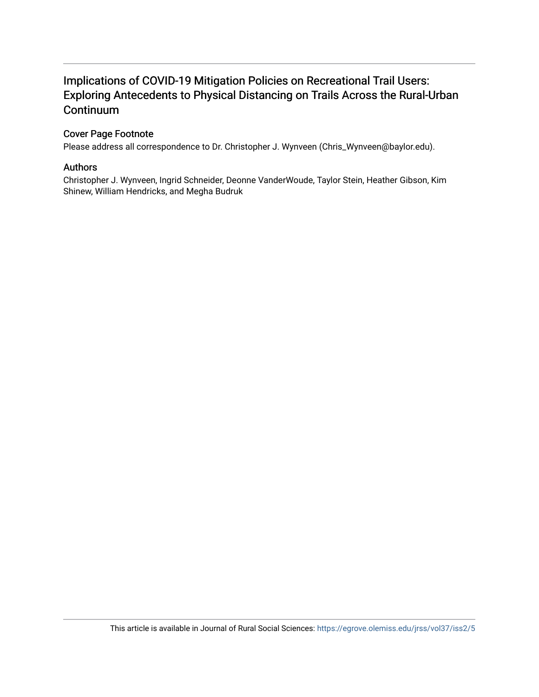# Implications of COVID-19 Mitigation Policies on Recreational Trail Users: Exploring Antecedents to Physical Distancing on Trails Across the Rural-Urban **Continuum**

#### Cover Page Footnote

Please address all correspondence to Dr. Christopher J. Wynveen (Chris\_Wynveen@baylor.edu).

#### Authors

Christopher J. Wynveen, Ingrid Schneider, Deonne VanderWoude, Taylor Stein, Heather Gibson, Kim Shinew, William Hendricks, and Megha Budruk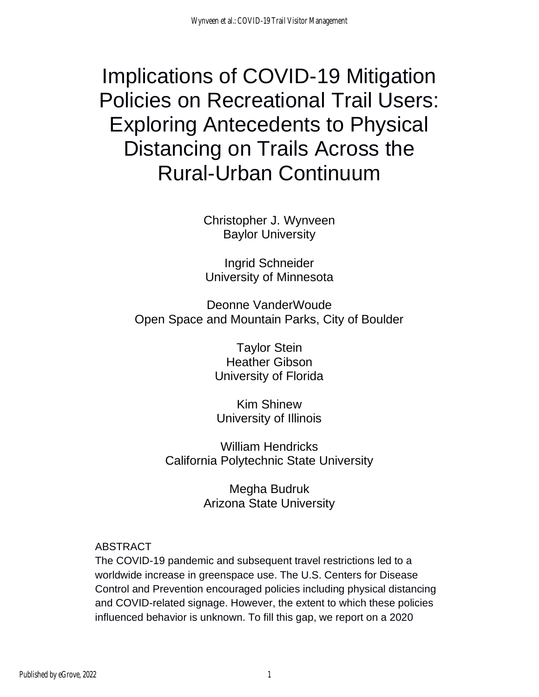# Implications of COVID-19 Mitigation Policies on Recreational Trail Users: Exploring Antecedents to Physical Distancing on Trails Across the Rural-Urban Continuum

Christopher J. Wynveen Baylor University

Ingrid Schneider University of Minnesota

Deonne VanderWoude Open Space and Mountain Parks, City of Boulder

> Taylor Stein Heather Gibson University of Florida

Kim Shinew University of Illinois

William Hendricks California Polytechnic State University

> Megha Budruk Arizona State University

# ABSTRACT

The COVID-19 pandemic and subsequent travel restrictions led to a worldwide increase in greenspace use. The U.S. Centers for Disease Control and Prevention encouraged policies including physical distancing and COVID-related signage. However, the extent to which these policies influenced behavior is unknown. To fill this gap, we report on a 2020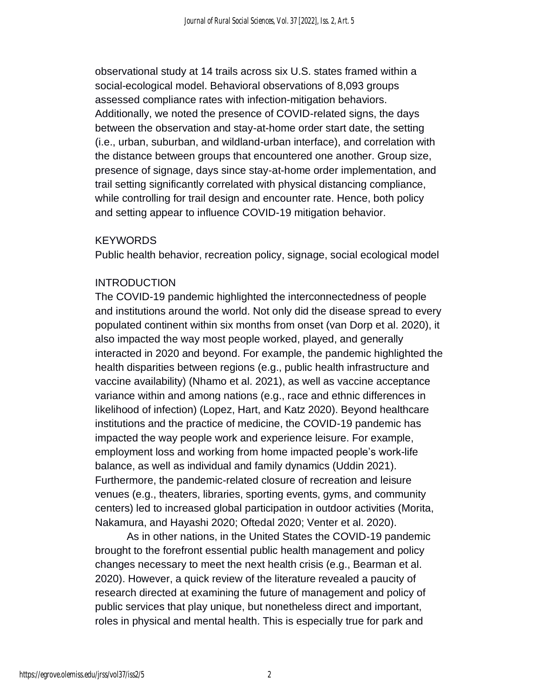observational study at 14 trails across six U.S. states framed within a social-ecological model. Behavioral observations of 8,093 groups assessed compliance rates with infection-mitigation behaviors. Additionally, we noted the presence of COVID-related signs, the days between the observation and stay-at-home order start date, the setting (i.e., urban, suburban, and wildland-urban interface), and correlation with the distance between groups that encountered one another. Group size, presence of signage, days since stay-at-home order implementation, and trail setting significantly correlated with physical distancing compliance, while controlling for trail design and encounter rate. Hence, both policy and setting appear to influence COVID-19 mitigation behavior.

#### **KEYWORDS**

Public health behavior, recreation policy, signage, social ecological model

#### **INTRODUCTION**

The COVID-19 pandemic highlighted the interconnectedness of people and institutions around the world. Not only did the disease spread to every populated continent within six months from onset (van Dorp et al. 2020), it also impacted the way most people worked, played, and generally interacted in 2020 and beyond. For example, the pandemic highlighted the health disparities between regions (e.g., public health infrastructure and vaccine availability) (Nhamo et al. 2021), as well as vaccine acceptance variance within and among nations (e.g., race and ethnic differences in likelihood of infection) (Lopez, Hart, and Katz 2020). Beyond healthcare institutions and the practice of medicine, the COVID-19 pandemic has impacted the way people work and experience leisure. For example, employment loss and working from home impacted people's work-life balance, as well as individual and family dynamics (Uddin 2021). Furthermore, the pandemic-related closure of recreation and leisure venues (e.g., theaters, libraries, sporting events, gyms, and community centers) led to increased global participation in outdoor activities (Morita, Nakamura, and Hayashi 2020; Oftedal 2020; Venter et al. 2020).

As in other nations, in the United States the COVID-19 pandemic brought to the forefront essential public health management and policy changes necessary to meet the next health crisis (e.g., Bearman et al. 2020). However, a quick review of the literature revealed a paucity of research directed at examining the future of management and policy of public services that play unique, but nonetheless direct and important, roles in physical and mental health. This is especially true for park and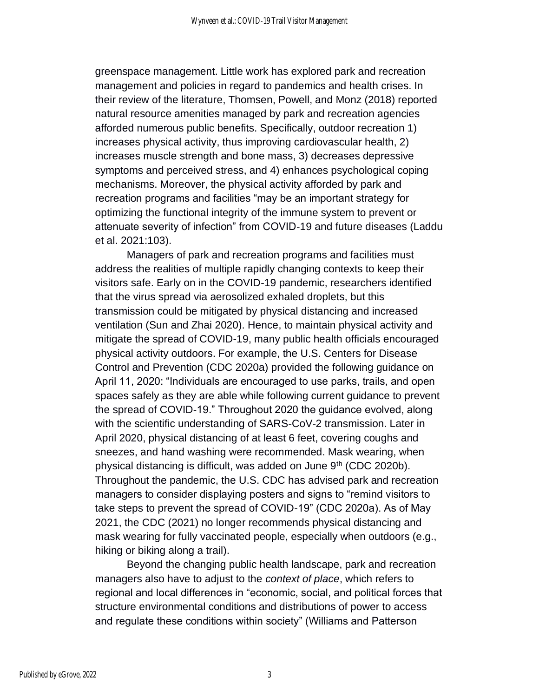greenspace management. Little work has explored park and recreation management and policies in regard to pandemics and health crises. In their review of the literature, Thomsen, Powell, and Monz (2018) reported natural resource amenities managed by park and recreation agencies afforded numerous public benefits. Specifically, outdoor recreation 1) increases physical activity, thus improving cardiovascular health, 2) increases muscle strength and bone mass, 3) decreases depressive symptoms and perceived stress, and 4) enhances psychological coping mechanisms. Moreover, the physical activity afforded by park and recreation programs and facilities "may be an important strategy for optimizing the functional integrity of the immune system to prevent or attenuate severity of infection" from COVID-19 and future diseases (Laddu et al. 2021:103).

Managers of park and recreation programs and facilities must address the realities of multiple rapidly changing contexts to keep their visitors safe. Early on in the COVID-19 pandemic, researchers identified that the virus spread via aerosolized exhaled droplets, but this transmission could be mitigated by physical distancing and increased ventilation (Sun and Zhai 2020). Hence, to maintain physical activity and mitigate the spread of COVID-19, many public health officials encouraged physical activity outdoors. For example, the U.S. Centers for Disease Control and Prevention (CDC 2020a) provided the following guidance on April 11, 2020: "Individuals are encouraged to use parks, trails, and open spaces safely as they are able while following current guidance to prevent the spread of COVID-19." Throughout 2020 the guidance evolved, along with the scientific understanding of SARS-CoV-2 transmission. Later in April 2020, physical distancing of at least 6 feet, covering coughs and sneezes, and hand washing were recommended. Mask wearing, when physical distancing is difficult, was added on June 9<sup>th</sup> (CDC 2020b). Throughout the pandemic, the U.S. CDC has advised park and recreation managers to consider displaying posters and signs to "remind visitors to take steps to prevent the spread of COVID-19" (CDC 2020a). As of May 2021, the CDC (2021) no longer recommends physical distancing and mask wearing for fully vaccinated people, especially when outdoors (e.g., hiking or biking along a trail).

Beyond the changing public health landscape, park and recreation managers also have to adjust to the *context of place*, which refers to regional and local differences in "economic, social, and political forces that structure environmental conditions and distributions of power to access and regulate these conditions within society" (Williams and Patterson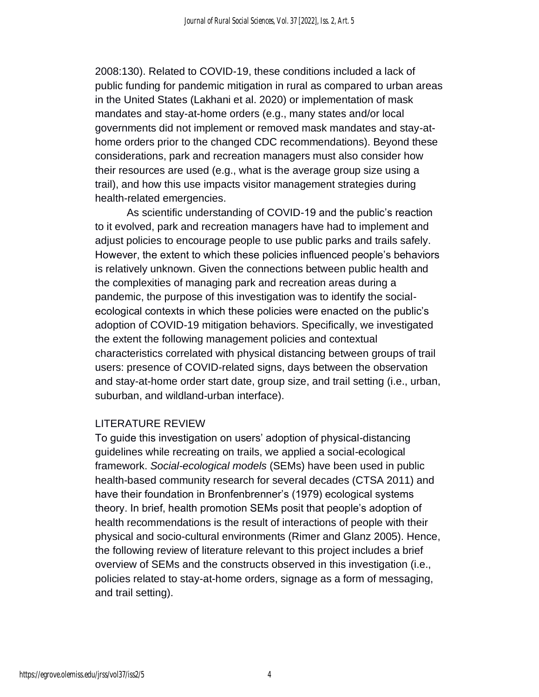2008:130). Related to COVID-19, these conditions included a lack of public funding for pandemic mitigation in rural as compared to urban areas in the United States (Lakhani et al. 2020) or implementation of mask mandates and stay-at-home orders (e.g., many states and/or local governments did not implement or removed mask mandates and stay-athome orders prior to the changed CDC recommendations). Beyond these considerations, park and recreation managers must also consider how their resources are used (e.g., what is the average group size using a trail), and how this use impacts visitor management strategies during health-related emergencies.

As scientific understanding of COVID-19 and the public's reaction to it evolved, park and recreation managers have had to implement and adjust policies to encourage people to use public parks and trails safely. However, the extent to which these policies influenced people's behaviors is relatively unknown. Given the connections between public health and the complexities of managing park and recreation areas during a pandemic, the purpose of this investigation was to identify the socialecological contexts in which these policies were enacted on the public's adoption of COVID-19 mitigation behaviors. Specifically, we investigated the extent the following management policies and contextual characteristics correlated with physical distancing between groups of trail users: presence of COVID-related signs, days between the observation and stay-at-home order start date, group size, and trail setting (i.e., urban, suburban, and wildland-urban interface).

#### LITERATURE REVIEW

To guide this investigation on users' adoption of physical-distancing guidelines while recreating on trails, we applied a social-ecological framework. *Social-ecological models* (SEMs) have been used in public health-based community research for several decades (CTSA 2011) and have their foundation in Bronfenbrenner's (1979) ecological systems theory. In brief, health promotion SEMs posit that people's adoption of health recommendations is the result of interactions of people with their physical and socio-cultural environments (Rimer and Glanz 2005). Hence, the following review of literature relevant to this project includes a brief overview of SEMs and the constructs observed in this investigation (i.e., policies related to stay-at-home orders, signage as a form of messaging, and trail setting).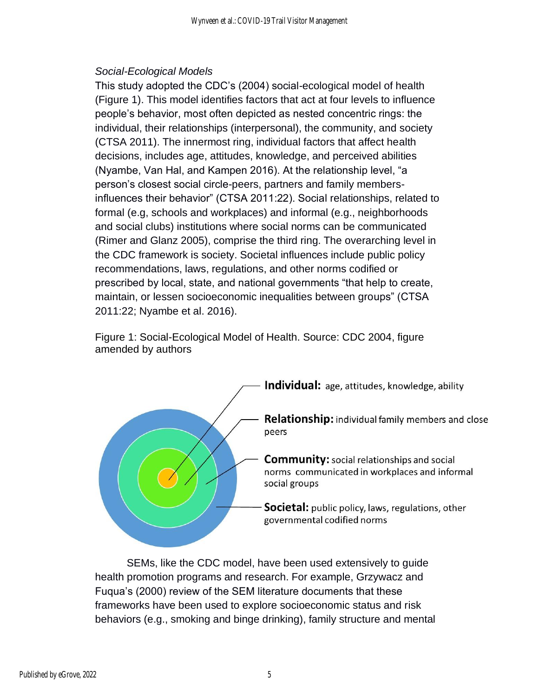### *Social-Ecological Models*

This study adopted the CDC's (2004) social-ecological model of health (Figure 1). This model identifies factors that act at four levels to influence people's behavior, most often depicted as nested concentric rings: the individual, their relationships (interpersonal), the community, and society (CTSA 2011). The innermost ring, individual factors that affect health decisions, includes age, attitudes, knowledge, and perceived abilities (Nyambe, Van Hal, and Kampen 2016). At the relationship level, "a person's closest social circle-peers, partners and family membersinfluences their behavior" (CTSA 2011:22). Social relationships, related to formal (e.g, schools and workplaces) and informal (e.g., neighborhoods and social clubs) institutions where social norms can be communicated (Rimer and Glanz 2005), comprise the third ring. The overarching level in the CDC framework is society. Societal influences include public policy recommendations, laws, regulations, and other norms codified or prescribed by local, state, and national governments "that help to create, maintain, or lessen socioeconomic inequalities between groups" (CTSA 2011:22; Nyambe et al. 2016).

Figure 1: Social-Ecological Model of Health. Source: CDC 2004, figure amended by authors



SEMs, like the CDC model, have been used extensively to guide health promotion programs and research. For example, Grzywacz and Fuqua's (2000) review of the SEM literature documents that these frameworks have been used to explore socioeconomic status and risk behaviors (e.g., smoking and binge drinking), family structure and mental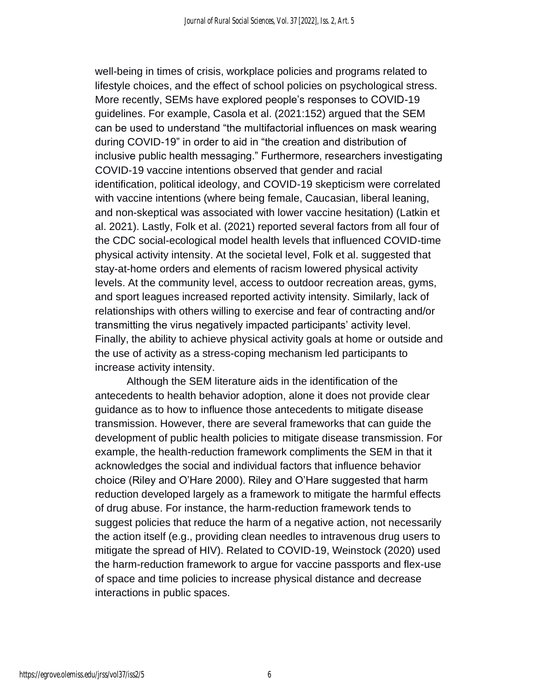well-being in times of crisis, workplace policies and programs related to lifestyle choices, and the effect of school policies on psychological stress. More recently, SEMs have explored people's responses to COVID-19 guidelines. For example, Casola et al. (2021:152) argued that the SEM can be used to understand "the multifactorial influences on mask wearing during COVID-19" in order to aid in "the creation and distribution of inclusive public health messaging." Furthermore, researchers investigating COVID-19 vaccine intentions observed that gender and racial identification, political ideology, and COVID-19 skepticism were correlated with vaccine intentions (where being female, Caucasian, liberal leaning, and non-skeptical was associated with lower vaccine hesitation) (Latkin et al. 2021). Lastly, Folk et al. (2021) reported several factors from all four of the CDC social-ecological model health levels that influenced COVID-time physical activity intensity. At the societal level, Folk et al. suggested that stay-at-home orders and elements of racism lowered physical activity levels. At the community level, access to outdoor recreation areas, gyms, and sport leagues increased reported activity intensity. Similarly, lack of relationships with others willing to exercise and fear of contracting and/or transmitting the virus negatively impacted participants' activity level. Finally, the ability to achieve physical activity goals at home or outside and the use of activity as a stress-coping mechanism led participants to increase activity intensity.

Although the SEM literature aids in the identification of the antecedents to health behavior adoption, alone it does not provide clear guidance as to how to influence those antecedents to mitigate disease transmission. However, there are several frameworks that can guide the development of public health policies to mitigate disease transmission. For example, the health-reduction framework compliments the SEM in that it acknowledges the social and individual factors that influence behavior choice (Riley and O'Hare 2000). Riley and O'Hare suggested that harm reduction developed largely as a framework to mitigate the harmful effects of drug abuse. For instance, the harm-reduction framework tends to suggest policies that reduce the harm of a negative action, not necessarily the action itself (e.g., providing clean needles to intravenous drug users to mitigate the spread of HIV). Related to COVID-19, Weinstock (2020) used the harm-reduction framework to argue for vaccine passports and flex-use of space and time policies to increase physical distance and decrease interactions in public spaces.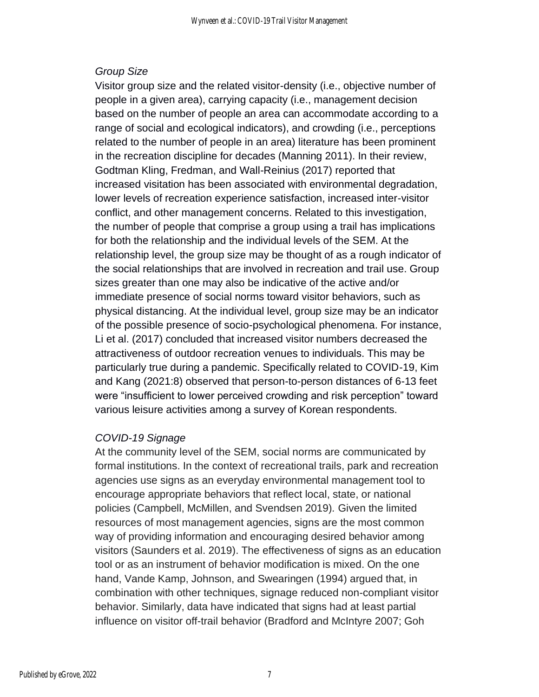#### *Group Size*

Visitor group size and the related visitor-density (i.e., objective number of people in a given area), carrying capacity (i.e., management decision based on the number of people an area can accommodate according to a range of social and ecological indicators), and crowding (i.e., perceptions related to the number of people in an area) literature has been prominent in the recreation discipline for decades (Manning 2011). In their review, Godtman Kling, Fredman, and Wall-Reinius (2017) reported that increased visitation has been associated with environmental degradation, lower levels of recreation experience satisfaction, increased inter-visitor conflict, and other management concerns. Related to this investigation, the number of people that comprise a group using a trail has implications for both the relationship and the individual levels of the SEM. At the relationship level, the group size may be thought of as a rough indicator of the social relationships that are involved in recreation and trail use. Group sizes greater than one may also be indicative of the active and/or immediate presence of social norms toward visitor behaviors, such as physical distancing. At the individual level, group size may be an indicator of the possible presence of socio-psychological phenomena. For instance, Li et al. (2017) concluded that increased visitor numbers decreased the attractiveness of outdoor recreation venues to individuals. This may be particularly true during a pandemic. Specifically related to COVID-19, Kim and Kang (2021:8) observed that person-to-person distances of 6-13 feet were "insufficient to lower perceived crowding and risk perception" toward various leisure activities among a survey of Korean respondents.

#### *COVID-19 Signage*

At the community level of the SEM, social norms are communicated by formal institutions. In the context of recreational trails, park and recreation agencies use signs as an everyday environmental management tool to encourage appropriate behaviors that reflect local, state, or national policies (Campbell, McMillen, and Svendsen 2019)*.* Given the limited resources of most management agencies, signs are the most common way of providing information and encouraging desired behavior among visitors (Saunders et al. 2019). The effectiveness of signs as an education tool or as an instrument of behavior modification is mixed. On the one hand, Vande Kamp, Johnson, and Swearingen (1994) argued that, in combination with other techniques, signage reduced non-compliant visitor behavior. Similarly, data have indicated that signs had at least partial influence on visitor off-trail behavior (Bradford and McIntyre 2007; Goh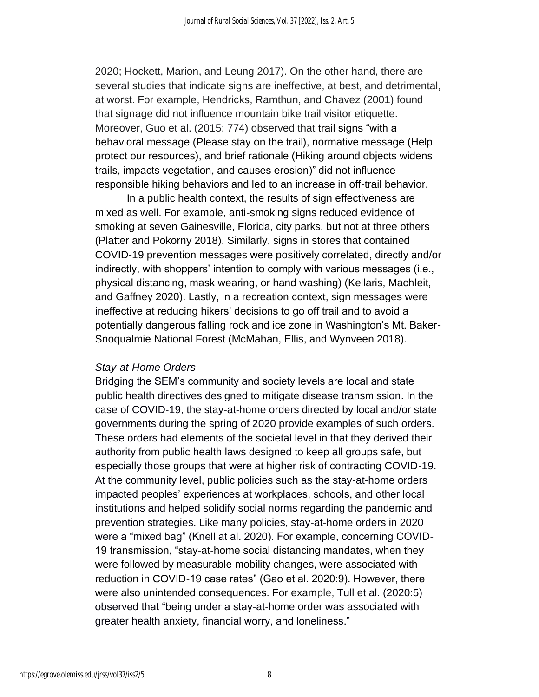2020; Hockett, Marion, and Leung 2017). On the other hand, there are several studies that indicate signs are ineffective, at best, and detrimental, at worst. For example, Hendricks, Ramthun, and Chavez (2001) found that signage did not influence mountain bike trail visitor etiquette. Moreover, Guo et al. (2015: 774) observed that trail signs "with a behavioral message (Please stay on the trail), normative message (Help protect our resources), and brief rationale (Hiking around objects widens trails, impacts vegetation, and causes erosion)" did not influence responsible hiking behaviors and led to an increase in off-trail behavior.

In a public health context, the results of sign effectiveness are mixed as well. For example, anti-smoking signs reduced evidence of smoking at seven Gainesville, Florida, city parks, but not at three others (Platter and Pokorny 2018). Similarly, signs in stores that contained COVID-19 prevention messages were positively correlated, directly and/or indirectly, with shoppers' intention to comply with various messages (i.e., physical distancing, mask wearing, or hand washing) (Kellaris, Machleit, and Gaffney 2020). Lastly, in a recreation context, sign messages were ineffective at reducing hikers' decisions to go off trail and to avoid a potentially dangerous falling rock and ice zone in Washington's Mt. Baker-Snoqualmie National Forest (McMahan, Ellis, and Wynveen 2018).

#### *Stay-at-Home Orders*

Bridging the SEM's community and society levels are local and state public health directives designed to mitigate disease transmission. In the case of COVID-19, the stay-at-home orders directed by local and/or state governments during the spring of 2020 provide examples of such orders. These orders had elements of the societal level in that they derived their authority from public health laws designed to keep all groups safe, but especially those groups that were at higher risk of contracting COVID-19. At the community level, public policies such as the stay-at-home orders impacted peoples' experiences at workplaces, schools, and other local institutions and helped solidify social norms regarding the pandemic and prevention strategies. Like many policies, stay-at-home orders in 2020 were a "mixed bag" (Knell at al. 2020). For example, concerning COVID-19 transmission, "stay-at-home social distancing mandates, when they were followed by measurable mobility changes, were associated with reduction in COVID-19 case rates" (Gao et al. 2020:9). However, there were also unintended consequences. For example, Tull et al. (2020:5) observed that "being under a stay-at-home order was associated with greater health anxiety, financial worry, and loneliness."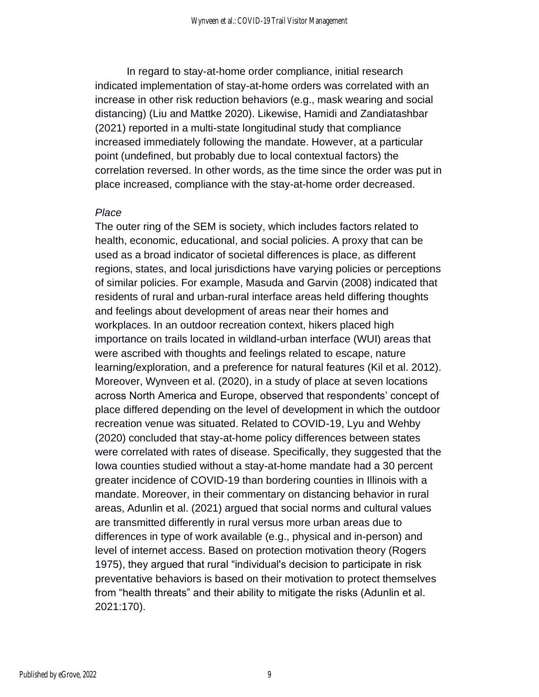In regard to stay-at-home order compliance, initial research indicated implementation of stay-at-home orders was correlated with an increase in other risk reduction behaviors (e.g., mask wearing and social distancing) (Liu and Mattke 2020). Likewise, Hamidi and Zandiatashbar (2021) reported in a multi-state longitudinal study that compliance increased immediately following the mandate. However, at a particular point (undefined, but probably due to local contextual factors) the correlation reversed. In other words, as the time since the order was put in place increased, compliance with the stay-at-home order decreased.

#### *Place*

The outer ring of the SEM is society, which includes factors related to health, economic, educational, and social policies. A proxy that can be used as a broad indicator of societal differences is place, as different regions, states, and local jurisdictions have varying policies or perceptions of similar policies. For example, Masuda and Garvin (2008) indicated that residents of rural and urban-rural interface areas held differing thoughts and feelings about development of areas near their homes and workplaces. In an outdoor recreation context, hikers placed high importance on trails located in wildland-urban interface (WUI) areas that were ascribed with thoughts and feelings related to escape, nature learning/exploration, and a preference for natural features (Kil et al. 2012). Moreover, Wynveen et al. (2020), in a study of place at seven locations across North America and Europe, observed that respondents' concept of place differed depending on the level of development in which the outdoor recreation venue was situated. Related to COVID-19, Lyu and Wehby (2020) concluded that stay-at-home policy differences between states were correlated with rates of disease. Specifically, they suggested that the Iowa counties studied without a stay-at-home mandate had a 30 percent greater incidence of COVID-19 than bordering counties in Illinois with a mandate. Moreover, in their commentary on distancing behavior in rural areas, Adunlin et al. (2021) argued that social norms and cultural values are transmitted differently in rural versus more urban areas due to differences in type of work available (e.g., physical and in-person) and level of internet access. Based on protection motivation theory (Rogers 1975), they argued that rural "individual's decision to participate in risk preventative behaviors is based on their motivation to protect themselves from "health threats" and their ability to mitigate the risks (Adunlin et al. 2021:170).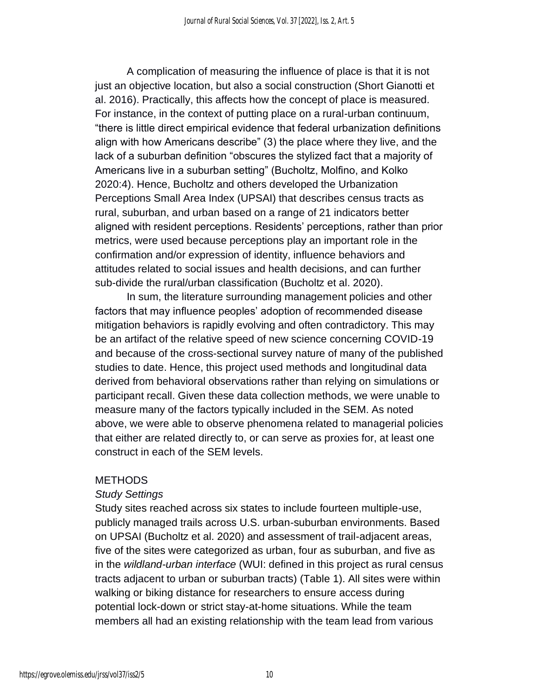A complication of measuring the influence of place is that it is not just an objective location, but also a social construction (Short Gianotti et al. 2016). Practically, this affects how the concept of place is measured. For instance, in the context of putting place on a rural-urban continuum, "there is little direct empirical evidence that federal urbanization definitions align with how Americans describe" (3) the place where they live, and the lack of a suburban definition "obscures the stylized fact that a majority of Americans live in a suburban setting" (Bucholtz, Molfino, and Kolko 2020:4). Hence, Bucholtz and others developed the Urbanization Perceptions Small Area Index (UPSAI) that describes census tracts as rural, suburban, and urban based on a range of 21 indicators better aligned with resident perceptions. Residents' perceptions, rather than prior metrics, were used because perceptions play an important role in the confirmation and/or expression of identity, influence behaviors and attitudes related to social issues and health decisions, and can further sub-divide the rural/urban classification (Bucholtz et al. 2020).

In sum, the literature surrounding management policies and other factors that may influence peoples' adoption of recommended disease mitigation behaviors is rapidly evolving and often contradictory. This may be an artifact of the relative speed of new science concerning COVID-19 and because of the cross-sectional survey nature of many of the published studies to date. Hence, this project used methods and longitudinal data derived from behavioral observations rather than relying on simulations or participant recall. Given these data collection methods, we were unable to measure many of the factors typically included in the SEM. As noted above, we were able to observe phenomena related to managerial policies that either are related directly to, or can serve as proxies for, at least one construct in each of the SEM levels.

#### **METHODS**

#### *Study Settings*

Study sites reached across six states to include fourteen multiple-use, publicly managed trails across U.S. urban-suburban environments. Based on UPSAI (Bucholtz et al. 2020) and assessment of trail-adjacent areas, five of the sites were categorized as urban, four as suburban, and five as in the *wildland-urban interface* (WUI: defined in this project as rural census tracts adjacent to urban or suburban tracts) (Table 1). All sites were within walking or biking distance for researchers to ensure access during potential lock-down or strict stay-at-home situations. While the team members all had an existing relationship with the team lead from various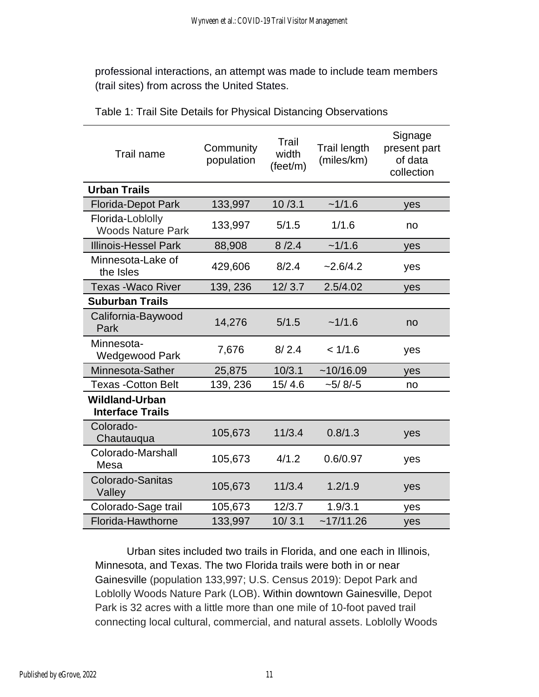professional interactions, an attempt was made to include team members (trail sites) from across the United States.

| Trail name                                       | Community<br>population | Trail<br>width<br>(feet/m) | <b>Trail length</b><br>(miles/km) | Signage<br>present part<br>of data<br>collection |  |
|--------------------------------------------------|-------------------------|----------------------------|-----------------------------------|--------------------------------------------------|--|
| <b>Urban Trails</b>                              |                         |                            |                                   |                                                  |  |
| <b>Florida-Depot Park</b>                        | 133,997                 | 10/3.1                     | ~1/1.6                            | yes                                              |  |
| Florida-Loblolly<br><b>Woods Nature Park</b>     | 133,997                 | 5/1.5                      | 1/1.6                             | no                                               |  |
| <b>Illinois-Hessel Park</b>                      | 88,908                  | 8/2.4                      | ~1/1.6                            | yes                                              |  |
| Minnesota-Lake of<br>the Isles                   | 429,606                 | 8/2.4                      | $-2.6/4.2$                        | yes                                              |  |
| <b>Texas - Waco River</b>                        | 139, 236                | 12/3.7                     | 2.5/4.02                          | yes                                              |  |
| <b>Suburban Trails</b>                           |                         |                            |                                   |                                                  |  |
| California-Baywood<br>Park                       | 14,276                  | 5/1.5                      | ~1/1.6                            | no                                               |  |
| Minnesota-<br>Wedgewood Park                     | 7,676                   | 8/2.4                      | < 1/1.6                           | yes                                              |  |
| Minnesota-Sather                                 | 25,875                  | 10/3.1                     | ~10/16.09                         | yes                                              |  |
| <b>Texas -Cotton Belt</b>                        | 139, 236                | 15/4.6                     | $-5/8/-5$                         | no                                               |  |
| <b>Wildland-Urban</b><br><b>Interface Trails</b> |                         |                            |                                   |                                                  |  |
| Colorado-<br>Chautauqua                          | 105,673                 | 11/3.4                     | 0.8/1.3                           | yes                                              |  |
| Colorado-Marshall<br>Mesa                        | 105,673                 | 4/1.2                      | 0.6/0.97                          | yes                                              |  |
| Colorado-Sanitas<br>Valley                       | 105,673                 | 11/3.4                     | 1.2/1.9                           | yes                                              |  |
| Colorado-Sage trail                              | 105,673                 | 12/3.7                     | 1.9/3.1                           | yes                                              |  |
| Florida-Hawthorne                                | 133,997                 | 10/3.1                     | ~17/11.26                         | yes                                              |  |

Table 1: Trail Site Details for Physical Distancing Observations

Urban sites included two trails in Florida, and one each in Illinois, Minnesota, and Texas. The two Florida trails were both in or near Gainesville (population 133,997; U.S. Census 2019): Depot Park and Loblolly Woods Nature Park (LOB). Within downtown Gainesville, Depot Park is 32 acres with a little more than one mile of 10-foot paved trail connecting local cultural, commercial, and natural assets. Loblolly Woods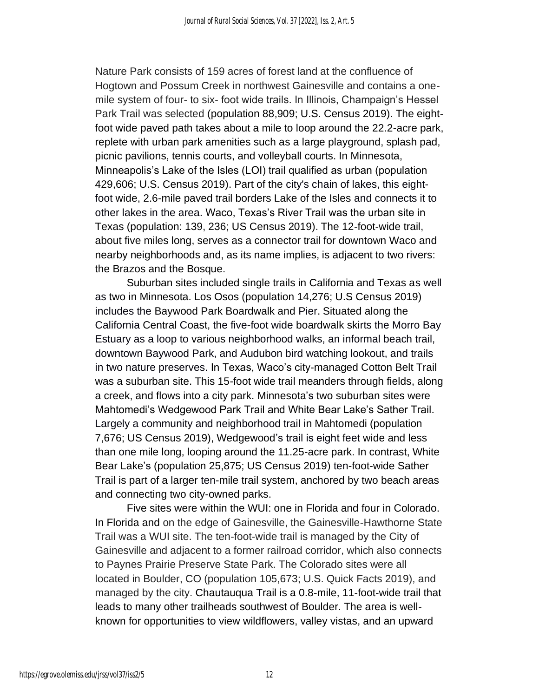Nature Park consists of 159 acres of forest land at the confluence of Hogtown and Possum Creek in northwest Gainesville and contains a onemile system of four- to six- foot wide trails. In Illinois, Champaign's Hessel Park Trail was selected (population 88,909; U.S. Census 2019). The eightfoot wide paved path takes about a mile to loop around the 22.2-acre park, replete with urban park amenities such as a large playground, splash pad, picnic pavilions, tennis courts, and volleyball courts. In Minnesota, Minneapolis's Lake of the Isles (LOI) trail qualified as urban (population 429,606; U.S. Census 2019). Part of the city's chain of lakes, this eightfoot wide, 2.6-mile paved trail borders Lake of the Isles and connects it to other lakes in the area. Waco, Texas's River Trail was the urban site in Texas (population: 139, 236; US Census 2019). The 12-foot-wide trail, about five miles long, serves as a connector trail for downtown Waco and nearby neighborhoods and, as its name implies, is adjacent to two rivers: the Brazos and the Bosque.

Suburban sites included single trails in California and Texas as well as two in Minnesota. Los Osos (population 14,276; U.S Census 2019) includes the Baywood Park Boardwalk and Pier. Situated along the California Central Coast, the five-foot wide boardwalk skirts the Morro Bay Estuary as a loop to various neighborhood walks, an informal beach trail, downtown Baywood Park, and Audubon bird watching lookout, and trails in two nature preserves. In Texas, Waco's city-managed Cotton Belt Trail was a suburban site. This 15-foot wide trail meanders through fields, along a creek, and flows into a city park. Minnesota's two suburban sites were Mahtomedi's Wedgewood Park Trail and White Bear Lake's Sather Trail. Largely a community and neighborhood trail in Mahtomedi (population 7,676; US Census 2019), Wedgewood's trail is eight feet wide and less than one mile long, looping around the 11.25-acre park. In contrast, White Bear Lake's (population 25,875; US Census 2019) ten-foot-wide Sather Trail is part of a larger ten-mile trail system, anchored by two beach areas and connecting two city-owned parks.

Five sites were within the WUI: one in Florida and four in Colorado. In Florida and on the edge of Gainesville, the Gainesville-Hawthorne State Trail was a WUI site. The ten-foot-wide trail is managed by the City of Gainesville and adjacent to a former railroad corridor, which also connects to Paynes Prairie Preserve State Park. The Colorado sites were all located in Boulder, CO (population 105,673; U.S. Quick Facts 2019), and managed by the city. Chautauqua Trail is a 0.8-mile, 11-foot-wide trail that leads to many other trailheads southwest of Boulder. The area is wellknown for opportunities to view wildflowers, valley vistas, and an upward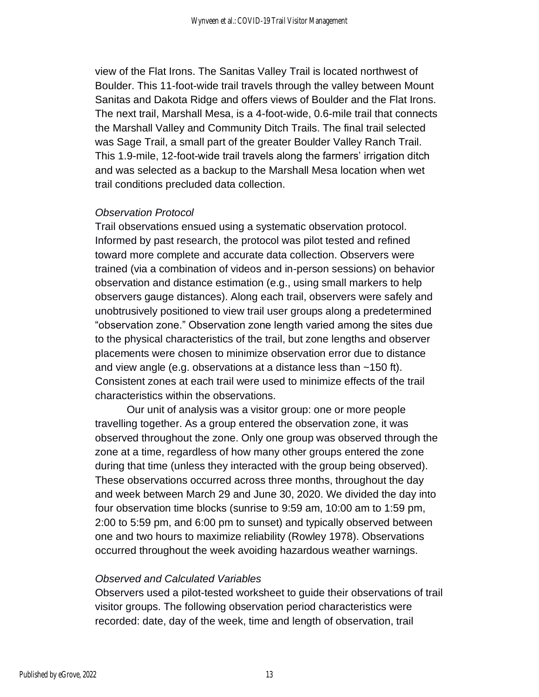view of the Flat Irons. The Sanitas Valley Trail is located northwest of Boulder. This 11-foot-wide trail travels through the valley between Mount Sanitas and Dakota Ridge and offers views of Boulder and the Flat Irons. The next trail, Marshall Mesa, is a 4-foot-wide, 0.6-mile trail that connects the Marshall Valley and Community Ditch Trails. The final trail selected was Sage Trail, a small part of the greater Boulder Valley Ranch Trail. This 1.9-mile, 12-foot-wide trail travels along the farmers' irrigation ditch and was selected as a backup to the Marshall Mesa location when wet trail conditions precluded data collection.

#### *Observation Protocol*

Trail observations ensued using a systematic observation protocol. Informed by past research, the protocol was pilot tested and refined toward more complete and accurate data collection. Observers were trained (via a combination of videos and in-person sessions) on behavior observation and distance estimation (e.g., using small markers to help observers gauge distances). Along each trail, observers were safely and unobtrusively positioned to view trail user groups along a predetermined "observation zone." Observation zone length varied among the sites due to the physical characteristics of the trail, but zone lengths and observer placements were chosen to minimize observation error due to distance and view angle (e.g. observations at a distance less than ~150 ft). Consistent zones at each trail were used to minimize effects of the trail characteristics within the observations.

Our unit of analysis was a visitor group: one or more people travelling together. As a group entered the observation zone, it was observed throughout the zone. Only one group was observed through the zone at a time, regardless of how many other groups entered the zone during that time (unless they interacted with the group being observed). These observations occurred across three months, throughout the day and week between March 29 and June 30, 2020. We divided the day into four observation time blocks (sunrise to 9:59 am, 10:00 am to 1:59 pm, 2:00 to 5:59 pm, and 6:00 pm to sunset) and typically observed between one and two hours to maximize reliability (Rowley 1978). Observations occurred throughout the week avoiding hazardous weather warnings.

#### *Observed and Calculated Variables*

Observers used a pilot-tested worksheet to guide their observations of trail visitor groups. The following observation period characteristics were recorded: date, day of the week, time and length of observation, trail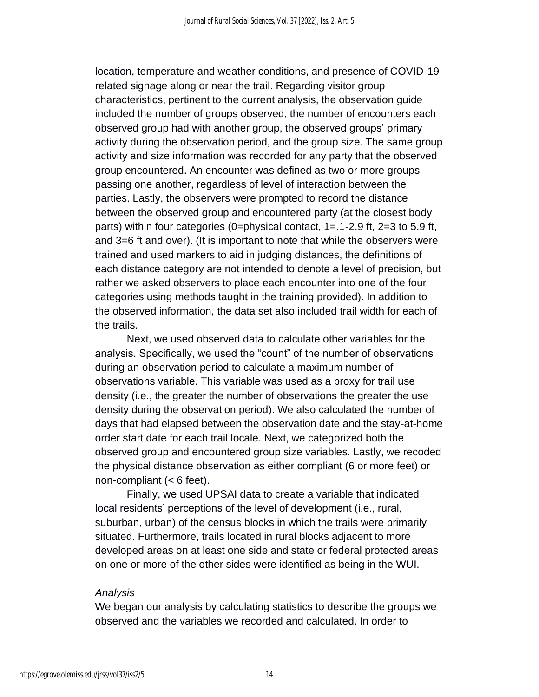location, temperature and weather conditions, and presence of COVID-19 related signage along or near the trail. Regarding visitor group characteristics, pertinent to the current analysis, the observation guide included the number of groups observed, the number of encounters each observed group had with another group, the observed groups' primary activity during the observation period, and the group size. The same group activity and size information was recorded for any party that the observed group encountered. An encounter was defined as two or more groups passing one another, regardless of level of interaction between the parties. Lastly, the observers were prompted to record the distance between the observed group and encountered party (at the closest body parts) within four categories (0=physical contact, 1=.1-2.9 ft, 2=3 to 5.9 ft, and 3=6 ft and over). (It is important to note that while the observers were trained and used markers to aid in judging distances, the definitions of each distance category are not intended to denote a level of precision, but rather we asked observers to place each encounter into one of the four categories using methods taught in the training provided). In addition to the observed information, the data set also included trail width for each of the trails.

Next, we used observed data to calculate other variables for the analysis. Specifically, we used the "count" of the number of observations during an observation period to calculate a maximum number of observations variable. This variable was used as a proxy for trail use density (i.e., the greater the number of observations the greater the use density during the observation period). We also calculated the number of days that had elapsed between the observation date and the stay-at-home order start date for each trail locale. Next, we categorized both the observed group and encountered group size variables. Lastly, we recoded the physical distance observation as either compliant (6 or more feet) or non-compliant (< 6 feet).

Finally, we used UPSAI data to create a variable that indicated local residents' perceptions of the level of development (i.e., rural, suburban, urban) of the census blocks in which the trails were primarily situated. Furthermore, trails located in rural blocks adjacent to more developed areas on at least one side and state or federal protected areas on one or more of the other sides were identified as being in the WUI.

#### *Analysis*

We began our analysis by calculating statistics to describe the groups we observed and the variables we recorded and calculated. In order to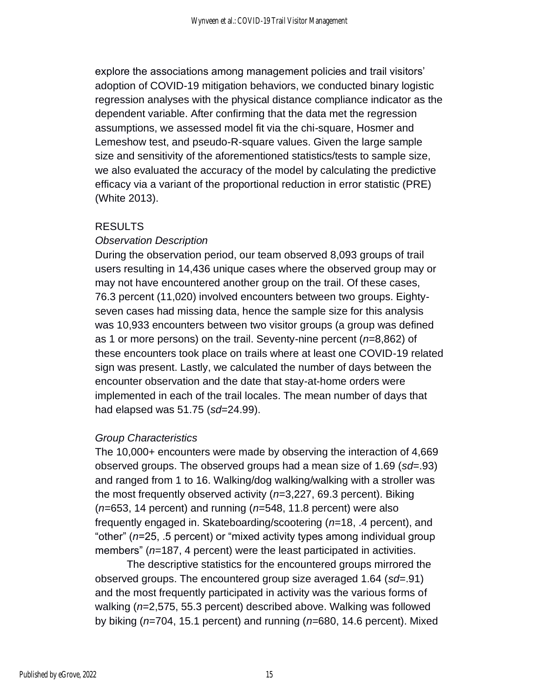explore the associations among management policies and trail visitors' adoption of COVID-19 mitigation behaviors, we conducted binary logistic regression analyses with the physical distance compliance indicator as the dependent variable. After confirming that the data met the regression assumptions, we assessed model fit via the chi-square, Hosmer and Lemeshow test, and pseudo-R-square values. Given the large sample size and sensitivity of the aforementioned statistics/tests to sample size, we also evaluated the accuracy of the model by calculating the predictive efficacy via a variant of the proportional reduction in error statistic (PRE) (White 2013).

#### RESULTS

#### *Observation Description*

During the observation period, our team observed 8,093 groups of trail users resulting in 14,436 unique cases where the observed group may or may not have encountered another group on the trail. Of these cases, 76.3 percent (11,020) involved encounters between two groups. Eightyseven cases had missing data, hence the sample size for this analysis was 10,933 encounters between two visitor groups (a group was defined as 1 or more persons) on the trail. Seventy-nine percent (*n*=8,862) of these encounters took place on trails where at least one COVID-19 related sign was present. Lastly, we calculated the number of days between the encounter observation and the date that stay-at-home orders were implemented in each of the trail locales. The mean number of days that had elapsed was 51.75 (*sd*=24.99).

#### *Group Characteristics*

The 10,000+ encounters were made by observing the interaction of 4,669 observed groups. The observed groups had a mean size of 1.69 (*sd*=.93) and ranged from 1 to 16. Walking/dog walking/walking with a stroller was the most frequently observed activity (*n*=3,227, 69.3 percent). Biking (*n*=653, 14 percent) and running (*n*=548, 11.8 percent) were also frequently engaged in. Skateboarding/scootering (*n*=18, .4 percent), and "other" (*n*=25, .5 percent) or "mixed activity types among individual group members" (*n*=187, 4 percent) were the least participated in activities.

The descriptive statistics for the encountered groups mirrored the observed groups. The encountered group size averaged 1.64 (*sd*=.91) and the most frequently participated in activity was the various forms of walking (*n*=2,575, 55.3 percent) described above. Walking was followed by biking (*n*=704, 15.1 percent) and running (*n*=680, 14.6 percent). Mixed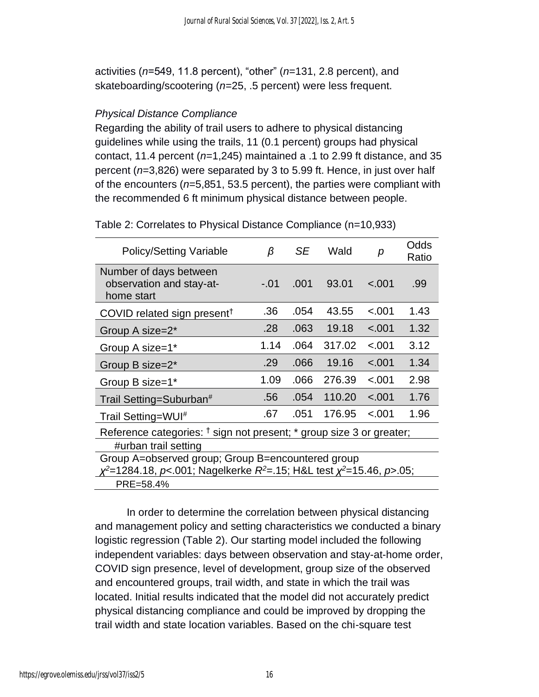activities (*n*=549, 11.8 percent), "other" (*n*=131, 2.8 percent), and skateboarding/scootering (*n*=25, .5 percent) were less frequent.

#### *Physical Distance Compliance*

Regarding the ability of trail users to adhere to physical distancing guidelines while using the trails, 11 (0.1 percent) groups had physical contact, 11.4 percent (*n*=1,245) maintained a .1 to 2.99 ft distance, and 35 percent (*n*=3,826) were separated by 3 to 5.99 ft. Hence, in just over half of the encounters (*n*=5,851, 53.5 percent), the parties were compliant with the recommended 6 ft minimum physical distance between people.

| <b>Policy/Setting Variable</b>                                                                                                    | β      | SE   | Wald   | р       | Odds<br>Ratio |  |  |  |
|-----------------------------------------------------------------------------------------------------------------------------------|--------|------|--------|---------|---------------|--|--|--|
| Number of days between<br>observation and stay-at-<br>home start                                                                  | $-.01$ | .001 | 93.01  | $-.001$ | .99           |  |  |  |
| COVID related sign present <sup>†</sup>                                                                                           | .36    | .054 | 43.55  | $-.001$ | 1.43          |  |  |  |
| Group A size=2*                                                                                                                   | .28    | .063 | 19.18  | $-.001$ | 1.32          |  |  |  |
| Group A size=1*                                                                                                                   | 1.14   | .064 | 317.02 | < .001  | 3.12          |  |  |  |
| Group B size=2*                                                                                                                   | .29    | .066 | 19.16  | $-.001$ | 1.34          |  |  |  |
| Group B size=1*                                                                                                                   | 1.09   | .066 | 276.39 | < .001  | 2.98          |  |  |  |
| Trail Setting=Suburban#                                                                                                           | .56    | .054 | 110.20 | $-.001$ | 1.76          |  |  |  |
| Trail Setting=WUI <sup>#</sup>                                                                                                    | .67    | .051 | 176.95 | $-.001$ | 1.96          |  |  |  |
| Reference categories: <sup>†</sup> sign not present; * group size 3 or greater;                                                   |        |      |        |         |               |  |  |  |
| #urban trail setting                                                                                                              |        |      |        |         |               |  |  |  |
| Group A=observed group; Group B=encountered group<br>$x^2$ =1284.18, p<.001; Nagelkerke $R^2$ =.15; H&L test $x^2$ =15.46, p>.05; |        |      |        |         |               |  |  |  |
| PRE=58.4%                                                                                                                         |        |      |        |         |               |  |  |  |

Table 2: Correlates to Physical Distance Compliance (n=10,933)

In order to determine the correlation between physical distancing and management policy and setting characteristics we conducted a binary logistic regression (Table 2). Our starting model included the following independent variables: days between observation and stay-at-home order, COVID sign presence, level of development, group size of the observed and encountered groups, trail width, and state in which the trail was located. Initial results indicated that the model did not accurately predict physical distancing compliance and could be improved by dropping the trail width and state location variables. Based on the chi-square test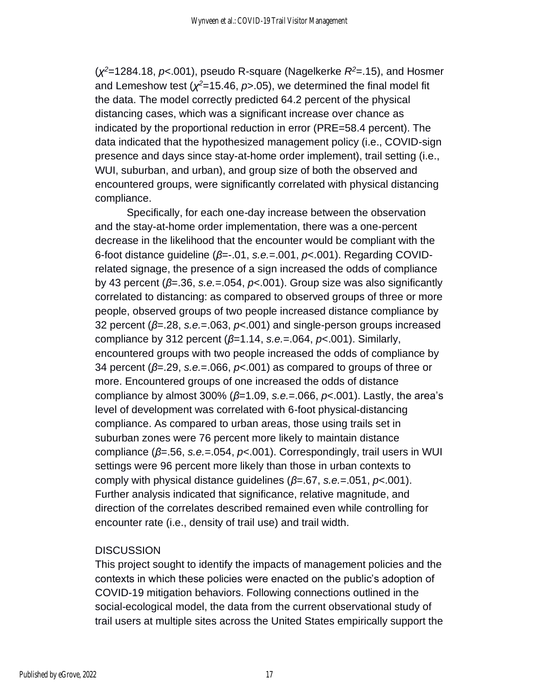(*χ <sup>2</sup>*=1284.18, *p*<.001), pseudo R-square (Nagelkerke *R<sup>2</sup>*=.15), and Hosmer and Lemeshow test (*χ <sup>2</sup>*=15.46, *p*>.05), we determined the final model fit the data. The model correctly predicted 64.2 percent of the physical distancing cases, which was a significant increase over chance as indicated by the proportional reduction in error (PRE=58.4 percent). The data indicated that the hypothesized management policy (i.e., COVID-sign presence and days since stay-at-home order implement), trail setting (i.e., WUI, suburban, and urban), and group size of both the observed and encountered groups, were significantly correlated with physical distancing compliance.

Specifically, for each one-day increase between the observation and the stay-at-home order implementation, there was a one-percent decrease in the likelihood that the encounter would be compliant with the 6-foot distance guideline (*β*=-.01, *s.e.*=.001, *p*<.001). Regarding COVIDrelated signage, the presence of a sign increased the odds of compliance by 43 percent (*β*=.36, *s.e.*=.054, *p*<.001). Group size was also significantly correlated to distancing: as compared to observed groups of three or more people, observed groups of two people increased distance compliance by 32 percent (*β*=.28, *s.e.*=.063, *p*<.001) and single-person groups increased compliance by 312 percent (*β*=1.14, *s.e.*=.064, *p*<.001). Similarly, encountered groups with two people increased the odds of compliance by 34 percent (*β*=.29, *s.e.*=.066, *p*<.001) as compared to groups of three or more. Encountered groups of one increased the odds of distance compliance by almost 300% (*β*=1.09, *s.e.*=.066, *p*<.001). Lastly, the area's level of development was correlated with 6-foot physical-distancing compliance. As compared to urban areas, those using trails set in suburban zones were 76 percent more likely to maintain distance compliance (*β*=.56, *s.e.*=.054, *p*<.001). Correspondingly, trail users in WUI settings were 96 percent more likely than those in urban contexts to comply with physical distance guidelines (*β*=.67, *s.e.*=.051, *p*<.001). Further analysis indicated that significance, relative magnitude, and direction of the correlates described remained even while controlling for encounter rate (i.e., density of trail use) and trail width.

#### **DISCUSSION**

This project sought to identify the impacts of management policies and the contexts in which these policies were enacted on the public's adoption of COVID-19 mitigation behaviors. Following connections outlined in the social-ecological model, the data from the current observational study of trail users at multiple sites across the United States empirically support the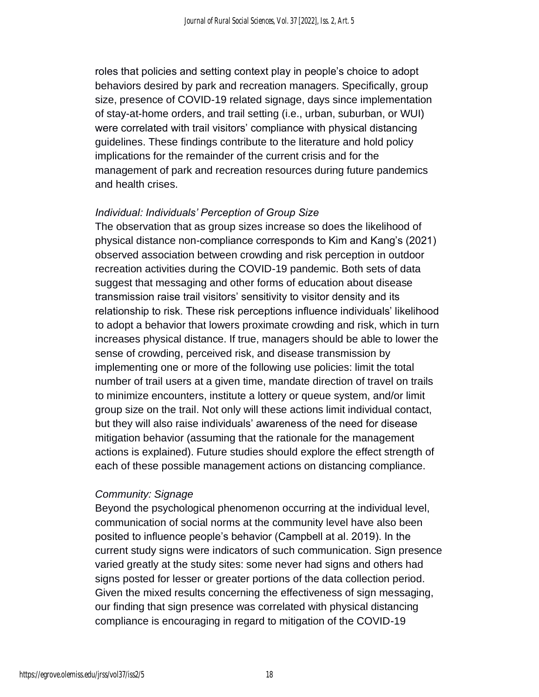roles that policies and setting context play in people's choice to adopt behaviors desired by park and recreation managers. Specifically, group size, presence of COVID-19 related signage, days since implementation of stay-at-home orders, and trail setting (i.e., urban, suburban, or WUI) were correlated with trail visitors' compliance with physical distancing guidelines. These findings contribute to the literature and hold policy implications for the remainder of the current crisis and for the management of park and recreation resources during future pandemics and health crises.

#### *Individual: Individuals' Perception of Group Size*

The observation that as group sizes increase so does the likelihood of physical distance non-compliance corresponds to Kim and Kang's (2021) observed association between crowding and risk perception in outdoor recreation activities during the COVID-19 pandemic. Both sets of data suggest that messaging and other forms of education about disease transmission raise trail visitors' sensitivity to visitor density and its relationship to risk. These risk perceptions influence individuals' likelihood to adopt a behavior that lowers proximate crowding and risk, which in turn increases physical distance. If true, managers should be able to lower the sense of crowding, perceived risk, and disease transmission by implementing one or more of the following use policies: limit the total number of trail users at a given time, mandate direction of travel on trails to minimize encounters, institute a lottery or queue system, and/or limit group size on the trail. Not only will these actions limit individual contact, but they will also raise individuals' awareness of the need for disease mitigation behavior (assuming that the rationale for the management actions is explained). Future studies should explore the effect strength of each of these possible management actions on distancing compliance.

#### *Community: Signage*

Beyond the psychological phenomenon occurring at the individual level, communication of social norms at the community level have also been posited to influence people's behavior (Campbell at al. 2019). In the current study signs were indicators of such communication. Sign presence varied greatly at the study sites: some never had signs and others had signs posted for lesser or greater portions of the data collection period. Given the mixed results concerning the effectiveness of sign messaging, our finding that sign presence was correlated with physical distancing compliance is encouraging in regard to mitigation of the COVID-19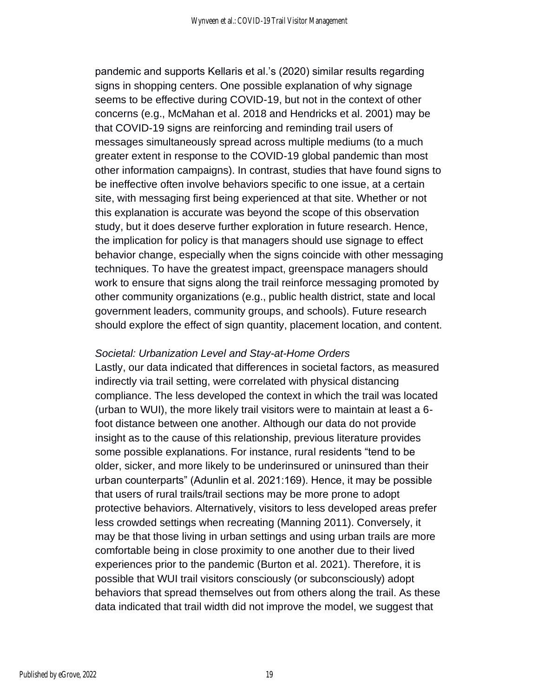pandemic and supports Kellaris et al.'s (2020) similar results regarding signs in shopping centers. One possible explanation of why signage seems to be effective during COVID-19, but not in the context of other concerns (e.g., McMahan et al. 2018 and Hendricks et al. 2001) may be that COVID-19 signs are reinforcing and reminding trail users of messages simultaneously spread across multiple mediums (to a much greater extent in response to the COVID-19 global pandemic than most other information campaigns). In contrast, studies that have found signs to be ineffective often involve behaviors specific to one issue, at a certain site, with messaging first being experienced at that site. Whether or not this explanation is accurate was beyond the scope of this observation study, but it does deserve further exploration in future research. Hence, the implication for policy is that managers should use signage to effect behavior change, especially when the signs coincide with other messaging techniques. To have the greatest impact, greenspace managers should work to ensure that signs along the trail reinforce messaging promoted by other community organizations (e.g., public health district, state and local government leaders, community groups, and schools). Future research should explore the effect of sign quantity, placement location, and content.

#### *Societal: Urbanization Level and Stay-at-Home Orders*

Lastly, our data indicated that differences in societal factors, as measured indirectly via trail setting, were correlated with physical distancing compliance. The less developed the context in which the trail was located (urban to WUI), the more likely trail visitors were to maintain at least a 6 foot distance between one another. Although our data do not provide insight as to the cause of this relationship, previous literature provides some possible explanations. For instance, rural residents "tend to be older, sicker, and more likely to be underinsured or uninsured than their urban counterparts" (Adunlin et al. 2021:169). Hence, it may be possible that users of rural trails/trail sections may be more prone to adopt protective behaviors. Alternatively, visitors to less developed areas prefer less crowded settings when recreating (Manning 2011). Conversely, it may be that those living in urban settings and using urban trails are more comfortable being in close proximity to one another due to their lived experiences prior to the pandemic (Burton et al. 2021). Therefore, it is possible that WUI trail visitors consciously (or subconsciously) adopt behaviors that spread themselves out from others along the trail. As these data indicated that trail width did not improve the model, we suggest that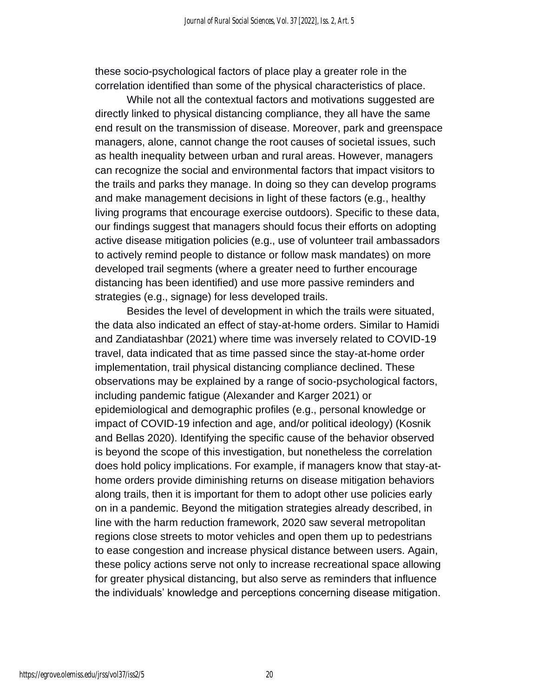these socio-psychological factors of place play a greater role in the correlation identified than some of the physical characteristics of place.

While not all the contextual factors and motivations suggested are directly linked to physical distancing compliance, they all have the same end result on the transmission of disease. Moreover, park and greenspace managers, alone, cannot change the root causes of societal issues, such as health inequality between urban and rural areas. However, managers can recognize the social and environmental factors that impact visitors to the trails and parks they manage. In doing so they can develop programs and make management decisions in light of these factors (e.g., healthy living programs that encourage exercise outdoors). Specific to these data, our findings suggest that managers should focus their efforts on adopting active disease mitigation policies (e.g., use of volunteer trail ambassadors to actively remind people to distance or follow mask mandates) on more developed trail segments (where a greater need to further encourage distancing has been identified) and use more passive reminders and strategies (e.g., signage) for less developed trails.

Besides the level of development in which the trails were situated, the data also indicated an effect of stay-at-home orders. Similar to Hamidi and Zandiatashbar (2021) where time was inversely related to COVID-19 travel, data indicated that as time passed since the stay-at-home order implementation, trail physical distancing compliance declined. These observations may be explained by a range of socio-psychological factors, including pandemic fatigue (Alexander and Karger 2021) or epidemiological and demographic profiles (e.g., personal knowledge or impact of COVID-19 infection and age, and/or political ideology) (Kosnik and Bellas 2020). Identifying the specific cause of the behavior observed is beyond the scope of this investigation, but nonetheless the correlation does hold policy implications. For example, if managers know that stay-athome orders provide diminishing returns on disease mitigation behaviors along trails, then it is important for them to adopt other use policies early on in a pandemic. Beyond the mitigation strategies already described, in line with the harm reduction framework, 2020 saw several metropolitan regions close streets to motor vehicles and open them up to pedestrians to ease congestion and increase physical distance between users. Again, these policy actions serve not only to increase recreational space allowing for greater physical distancing, but also serve as reminders that influence the individuals' knowledge and perceptions concerning disease mitigation.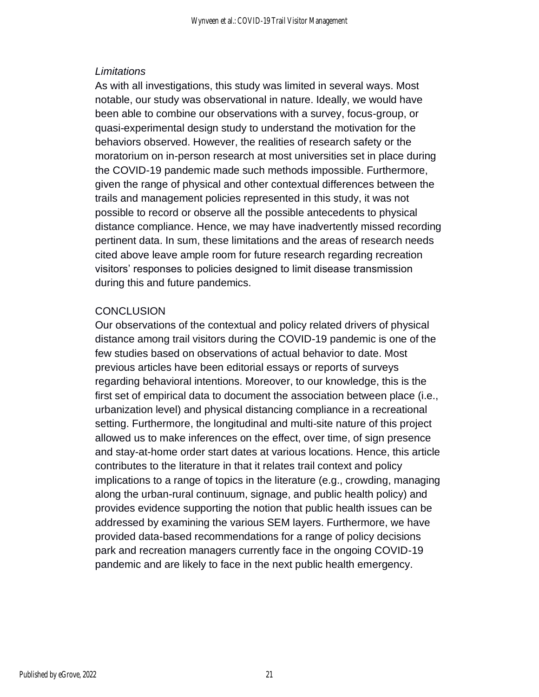#### *Limitations*

As with all investigations, this study was limited in several ways. Most notable, our study was observational in nature. Ideally, we would have been able to combine our observations with a survey, focus-group, or quasi-experimental design study to understand the motivation for the behaviors observed. However, the realities of research safety or the moratorium on in-person research at most universities set in place during the COVID-19 pandemic made such methods impossible. Furthermore, given the range of physical and other contextual differences between the trails and management policies represented in this study, it was not possible to record or observe all the possible antecedents to physical distance compliance. Hence, we may have inadvertently missed recording pertinent data. In sum, these limitations and the areas of research needs cited above leave ample room for future research regarding recreation visitors' responses to policies designed to limit disease transmission during this and future pandemics.

#### **CONCLUSION**

Our observations of the contextual and policy related drivers of physical distance among trail visitors during the COVID-19 pandemic is one of the few studies based on observations of actual behavior to date. Most previous articles have been editorial essays or reports of surveys regarding behavioral intentions. Moreover, to our knowledge, this is the first set of empirical data to document the association between place (i.e., urbanization level) and physical distancing compliance in a recreational setting. Furthermore, the longitudinal and multi-site nature of this project allowed us to make inferences on the effect, over time, of sign presence and stay-at-home order start dates at various locations. Hence, this article contributes to the literature in that it relates trail context and policy implications to a range of topics in the literature (e.g., crowding, managing along the urban-rural continuum, signage, and public health policy) and provides evidence supporting the notion that public health issues can be addressed by examining the various SEM layers. Furthermore, we have provided data-based recommendations for a range of policy decisions park and recreation managers currently face in the ongoing COVID-19 pandemic and are likely to face in the next public health emergency.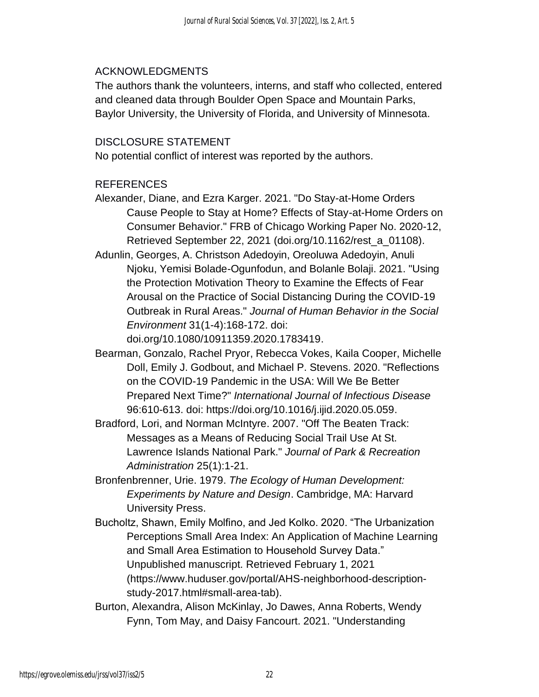#### ACKNOWLEDGMENTS

The authors thank the volunteers, interns, and staff who collected, entered and cleaned data through Boulder Open Space and Mountain Parks, Baylor University, the University of Florida, and University of Minnesota.

#### DISCLOSURE STATEMENT

No potential conflict of interest was reported by the authors.

#### REFERENCES

- Alexander, Diane, and Ezra Karger. 2021. "Do Stay-at-Home Orders Cause People to Stay at Home? Effects of Stay-at-Home Orders on Consumer Behavior." FRB of Chicago Working Paper No. 2020-12, Retrieved September 22, 2021 (doi.org/10.1162/rest\_a\_01108).
- Adunlin, Georges, A. Christson Adedoyin, Oreoluwa Adedoyin, Anuli Njoku, Yemisi Bolade-Ogunfodun, and Bolanle Bolaji. 2021. "Using the Protection Motivation Theory to Examine the Effects of Fear Arousal on the Practice of Social Distancing During the COVID-19 Outbreak in Rural Areas." *Journal of Human Behavior in the Social Environment* 31(1-4):168-172. doi: doi.org/10.1080/10911359.2020.1783419.
- Bearman, Gonzalo, Rachel Pryor, Rebecca Vokes, Kaila Cooper, Michelle Doll, Emily J. Godbout, and Michael P. Stevens. 2020. "Reflections on the COVID-19 Pandemic in the USA: Will We Be Better Prepared Next Time?" *International Journal of Infectious Disease* 96:610-613. doi: https://doi.org/10.1016/j.ijid.2020.05.059.
- Bradford, Lori, and Norman McIntyre. 2007. "Off The Beaten Track: Messages as a Means of Reducing Social Trail Use At St. Lawrence Islands National Park." *Journal of Park & Recreation Administration* 25(1):1-21.
- Bronfenbrenner, Urie. 1979. *The Ecology of Human Development: Experiments by Nature and Design*. Cambridge, MA: Harvard University Press.
- Bucholtz, Shawn, Emily Molfino, and Jed Kolko. 2020. "The Urbanization Perceptions Small Area Index: An Application of Machine Learning and Small Area Estimation to Household Survey Data." Unpublished manuscript. Retrieved February 1, 2021 (https://www.huduser.gov/portal/AHS-neighborhood-descriptionstudy-2017.html#small-area-tab).
- Burton, Alexandra, Alison McKinlay, Jo Dawes, Anna Roberts, Wendy Fynn, Tom May, and Daisy Fancourt. 2021. "Understanding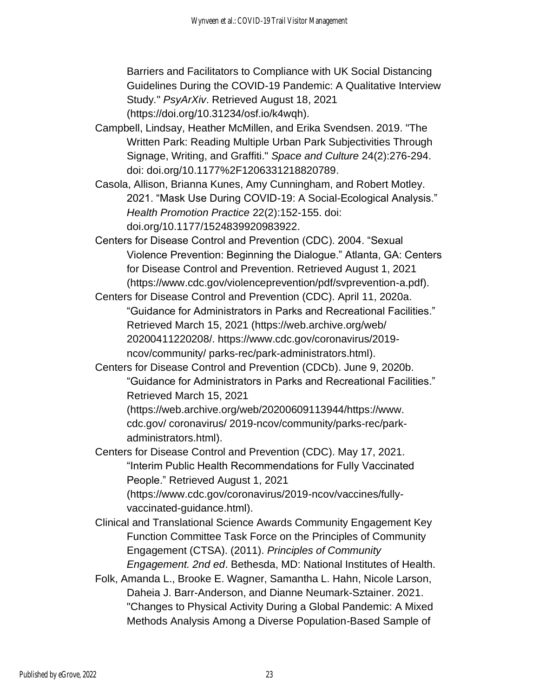Barriers and Facilitators to Compliance with UK Social Distancing Guidelines During the COVID-19 Pandemic: A Qualitative Interview Study*.*" *PsyArXiv*. Retrieved August 18, 2021 (https://doi.org/10.31234/osf.io/k4wqh).

- Campbell, Lindsay, Heather McMillen, and Erika Svendsen. 2019. "The Written Park: Reading Multiple Urban Park Subjectivities Through Signage, Writing, and Graffiti." *Space and Culture* 24(2):276-294. doi: doi.org/10.1177%2F1206331218820789.
- Casola, Allison, Brianna Kunes, Amy Cunningham, and Robert Motley. 2021. "Mask Use During COVID-19: A Social-Ecological Analysis." *Health Promotion Practice* 22(2):152-155. doi: doi.org/10.1177/1524839920983922.
- Centers for Disease Control and Prevention (CDC). 2004. "Sexual Violence Prevention: Beginning the Dialogue." Atlanta, GA: Centers for Disease Control and Prevention. Retrieved August 1, 2021 (https://www.cdc.gov/violenceprevention/pdf/svprevention-a.pdf).
- Centers for Disease Control and Prevention (CDC). April 11, 2020a. "Guidance for Administrators in Parks and Recreational Facilities." Retrieved March 15, 2021 [\(https://web.](https://web/)archive.org/web/ 20200411220208/. [https://www.cdc.gov/coronavirus/2019](https://www.cdc.gov/coronavirus/2019-ncov/community/) [ncov/community/](https://www.cdc.gov/coronavirus/2019-ncov/community/) [parks-rec/park-administrators.html\)](https://web.archive.org/web/20200411220208/%20https:/www.cdc.gov/coronavirus/2019-ncov/community/parks-rec/park-administrators.html).
- Centers for Disease Control and Prevention (CDCb). June 9, 2020b. "Guidance for Administrators in Parks and Recreational Facilities." Retrieved March 15, 2021

(https://web.archive.org/web/20200609113944/https://www. cdc.gov/ coronavirus/ 2019-ncov/community/parks-rec/parkadministrators.html).

Centers for Disease Control and Prevention (CDC). May 17, 2021. "Interim Public Health Recommendations for Fully Vaccinated People." Retrieved August 1, 2021 (https://www.cdc.gov/coronavirus/2019-ncov/vaccines/fully-

vaccinated-guidance.html).

- Clinical and Translational Science Awards Community Engagement Key Function Committee Task Force on the Principles of Community Engagement (CTSA). (2011). *Principles of Community Engagement. 2nd ed*. Bethesda, MD: National Institutes of Health.
- Folk, Amanda L., Brooke E. Wagner, Samantha L. Hahn, Nicole Larson, Daheia J. Barr-Anderson, and Dianne Neumark-Sztainer. 2021. "Changes to Physical Activity During a Global Pandemic: A Mixed Methods Analysis Among a Diverse Population-Based Sample of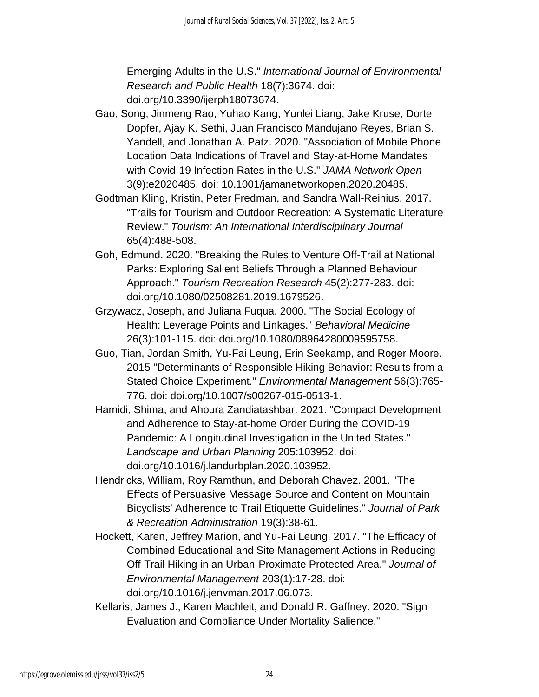Emerging Adults in the U.S." *International Journal of Environmental Research and Public Health* 18(7):3674. doi: doi.org/10.3390/ijerph18073674.

- Gao, Song, Jinmeng Rao, Yuhao Kang, Yunlei Liang, Jake Kruse, Dorte Dopfer, Ajay K. Sethi, Juan Francisco Mandujano Reyes, Brian S. Yandell, and Jonathan A. Patz. 2020. "Association of Mobile Phone Location Data Indications of Travel and Stay-at-Home Mandates with Covid-19 Infection Rates in the U.S." *JAMA Network Open* 3(9):e2020485. doi: 10.1001/jamanetworkopen.2020.20485.
- Godtman Kling, Kristin, Peter Fredman, and Sandra Wall-Reinius. 2017. "Trails for Tourism and Outdoor Recreation: A Systematic Literature Review." *Tourism: An International Interdisciplinary Journal* 65(4):488-508.
- Goh, Edmund. 2020. "Breaking the Rules to Venture Off-Trail at National Parks: Exploring Salient Beliefs Through a Planned Behaviour Approach." *Tourism Recreation Research* 45(2):277-283. doi: doi.org/10.1080/02508281.2019.1679526.
- Grzywacz, Joseph, and Juliana Fuqua. 2000. "The Social Ecology of Health: Leverage Points and Linkages." *Behavioral Medicine* 26(3):101-115. doi: doi.org/10.1080/08964280009595758.
- Guo, Tian, Jordan Smith, Yu-Fai Leung, Erin Seekamp, and Roger Moore. 2015 "Determinants of Responsible Hiking Behavior: Results from a Stated Choice Experiment." *Environmental Management* 56(3):765- 776. doi: doi.org/10.1007/s00267-015-0513-1.
- Hamidi, Shima, and Ahoura Zandiatashbar. 2021. "Compact Development and Adherence to Stay-at-home Order During the COVID-19 Pandemic: A Longitudinal Investigation in the United States." *Landscape and Urban Planning* 205:103952. doi: doi.org/10.1016/j.landurbplan.2020.103952.
- Hendricks, William, Roy Ramthun, and Deborah Chavez. 2001. "The Effects of Persuasive Message Source and Content on Mountain Bicyclists' Adherence to Trail Etiquette Guidelines." *Journal of Park & Recreation Administration* 19(3):38-61.
- Hockett, Karen, Jeffrey Marion, and Yu-Fai Leung. 2017. "The Efficacy of Combined Educational and Site Management Actions in Reducing Off-Trail Hiking in an Urban-Proximate Protected Area." *Journal of Environmental Management* 203(1):17-28. doi: doi.org/10.1016/j.jenvman.2017.06.073.
- Kellaris, James J., Karen Machleit, and Donald R. Gaffney. 2020. "Sign Evaluation and Compliance Under Mortality Salience."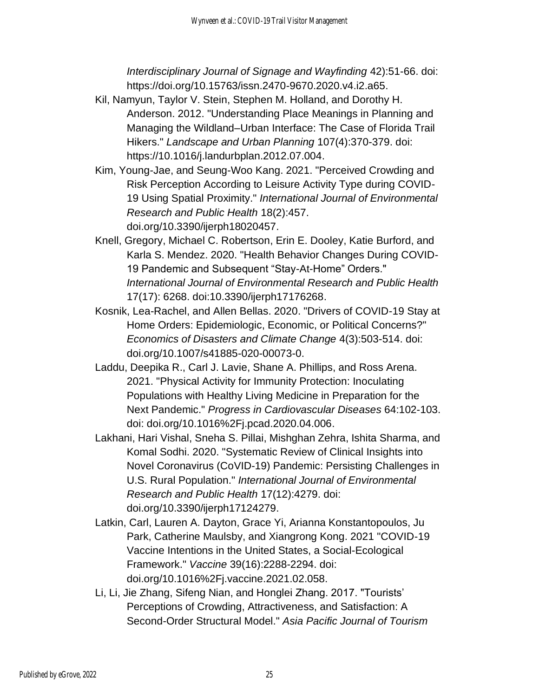*Interdisciplinary Journal of Signage and Wayfinding* 42):51-66. doi: https://doi.org/10.15763/issn.2470-9670.2020.v4.i2.a65.

- Kil, Namyun, Taylor V. Stein, Stephen M. Holland, and Dorothy H. Anderson. 2012. "Understanding Place Meanings in Planning and Managing the Wildland–Urban Interface: The Case of Florida Trail Hikers." *Landscape and Urban Planning* 107(4):370-379. doi: https://10.1016/j.landurbplan.2012.07.004.
- Kim, Young-Jae, and Seung-Woo Kang. 2021. "Perceived Crowding and Risk Perception According to Leisure Activity Type during COVID-19 Using Spatial Proximity." *International Journal of Environmental Research and Public Health* 18(2):457. doi.org/10.3390/ijerph18020457.
- Knell, Gregory, Michael C. Robertson, Erin E. Dooley, Katie Burford, and Karla S. Mendez. 2020. "Health Behavior Changes During COVID-19 Pandemic and Subsequent "Stay-At-Home" Orders." *International Journal of Environmental Research and Public Health* 17(17): 6268. doi:10.3390/ijerph17176268.
- Kosnik, Lea-Rachel, and Allen Bellas. 2020. "Drivers of COVID-19 Stay at Home Orders: Epidemiologic, Economic, or Political Concerns?" *Economics of Disasters and Climate Change* 4(3):503-514. doi: doi.org/10.1007/s41885-020-00073-0.
- Laddu, Deepika R., Carl J. Lavie, Shane A. Phillips, and Ross Arena. 2021. "Physical Activity for Immunity Protection: Inoculating Populations with Healthy Living Medicine in Preparation for the Next Pandemic." *Progress in Cardiovascular Diseases* 64:102-103. doi: doi.org/10.1016%2Fj.pcad.2020.04.006.
- Lakhani, Hari Vishal, Sneha S. Pillai, Mishghan Zehra, Ishita Sharma, and Komal Sodhi. 2020. "Systematic Review of Clinical Insights into Novel Coronavirus (CoVID-19) Pandemic: Persisting Challenges in U.S. Rural Population." *International Journal of Environmental Research and Public Health* 17(12):4279. doi: doi.org/10.3390/ijerph17124279.
- Latkin, Carl, Lauren A. Dayton, Grace Yi, Arianna Konstantopoulos, Ju Park, Catherine Maulsby, and Xiangrong Kong. 2021 "COVID-19 Vaccine Intentions in the United States, a Social-Ecological Framework." *Vaccine* 39(16):2288-2294. doi: doi.org/10.1016%2Fj.vaccine.2021.02.058.
- Li, Li, Jie Zhang, Sifeng Nian, and Honglei Zhang. 2017. "Tourists' Perceptions of Crowding, Attractiveness, and Satisfaction: A Second-Order Structural Model." *Asia Pacific Journal of Tourism*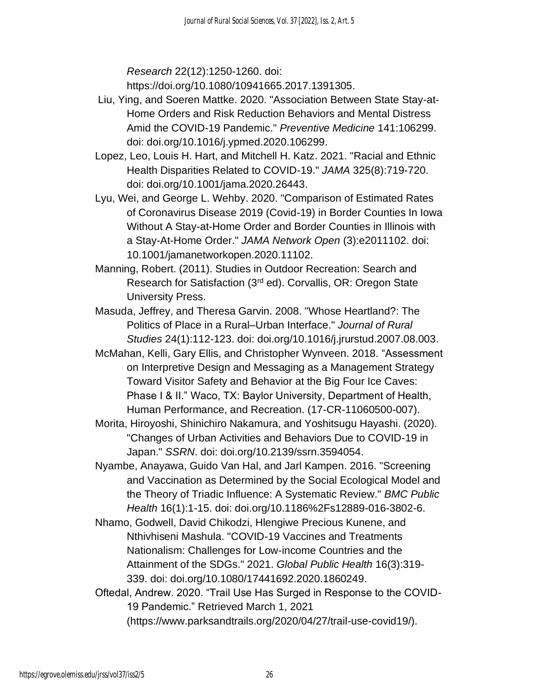*Research* 22(12):1250-1260. doi:

https://doi.org/10.1080/10941665.2017.1391305.

- Liu, Ying, and Soeren Mattke. 2020. "Association Between State Stay-at-Home Orders and Risk Reduction Behaviors and Mental Distress Amid the COVID-19 Pandemic." *Preventive Medicine* 141:106299. doi: doi.org/10.1016/j.ypmed.2020.106299.
- Lopez, Leo, Louis H. Hart, and Mitchell H. Katz. 2021. "Racial and Ethnic Health Disparities Related to COVID-19." *JAMA* 325(8):719-720. doi: doi.org/10.1001/jama.2020.26443.
- Lyu, Wei, and George L. Wehby. 2020. "Comparison of Estimated Rates of Coronavirus Disease 2019 (Covid-19) in Border Counties In Iowa Without A Stay-at-Home Order and Border Counties in Illinois with a Stay-At-Home Order." *JAMA Network Open* (3):e2011102. doi: 10.1001/jamanetworkopen.2020.11102.
- Manning, Robert. (2011). Studies in Outdoor Recreation: Search and Research for Satisfaction (3rd ed). Corvallis, OR: Oregon State University Press.
- Masuda, Jeffrey, and Theresa Garvin. 2008. "Whose Heartland?: The Politics of Place in a Rural–Urban Interface." *Journal of Rural Studies* 24(1):112-123. doi: doi.org/10.1016/j.jrurstud.2007.08.003.
- McMahan, Kelli, Gary Ellis, and Christopher Wynveen. 2018. "Assessment on Interpretive Design and Messaging as a Management Strategy Toward Visitor Safety and Behavior at the Big Four Ice Caves: Phase I & II." Waco, TX: Baylor University, Department of Health, Human Performance, and Recreation. (17-CR-11060500-007).
- Morita, Hiroyoshi, Shinichiro Nakamura, and Yoshitsugu Hayashi. (2020). "Changes of Urban Activities and Behaviors Due to COVID-19 in Japan." *SSRN*. doi: doi.org/10.2139/ssrn.3594054.
- Nyambe, Anayawa, Guido Van Hal, and Jarl Kampen. 2016. "Screening and Vaccination as Determined by the Social Ecological Model and the Theory of Triadic Influence: A Systematic Review." *BMC Public Health* 16(1):1-15. doi: doi.org/10.1186%2Fs12889-016-3802-6.
- Nhamo, Godwell, David Chikodzi, Hlengiwe Precious Kunene, and Nthivhiseni Mashula. "COVID-19 Vaccines and Treatments Nationalism: Challenges for Low-income Countries and the Attainment of the SDGs." 2021. *Global Public Health* 16(3):319- 339. doi: doi.org/10.1080/17441692.2020.1860249.
- Oftedal, Andrew. 2020. "Trail Use Has Surged in Response to the COVID-19 Pandemic." Retrieved March 1, 2021 (https://www.parksandtrails.org/2020/04/27/trail-use-covid19/).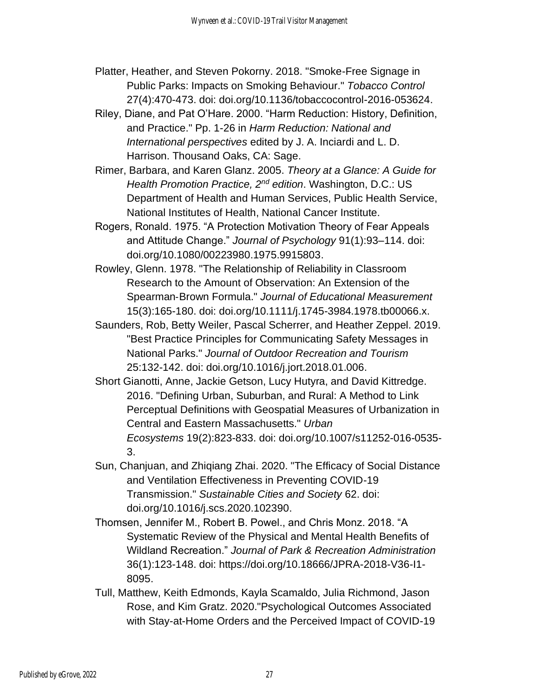- Platter, Heather, and Steven Pokorny. 2018. "Smoke-Free Signage in Public Parks: Impacts on Smoking Behaviour." *Tobacco Control*  27(4):470-473. doi: doi.org/10.1136/tobaccocontrol-2016-053624.
- Riley, Diane, and Pat O'Hare. 2000. "Harm Reduction: History, Definition, and Practice." Pp. 1-26 in *Harm Reduction: National and International perspectives* edited by J. A. Inciardi and L. D. Harrison. Thousand Oaks, CA: Sage.
- Rimer, Barbara, and Karen Glanz. 2005. *Theory at a Glance: A Guide for Health Promotion Practice, 2nd edition*. Washington, D.C.: US Department of Health and Human Services, Public Health Service, National Institutes of Health, National Cancer Institute.
- Rogers, Ronald. 1975. "A Protection Motivation Theory of Fear Appeals and Attitude Change." *Journal of Psychology* 91(1):93–114. doi: doi.org/10.1080/00223980.1975.9915803.
- Rowley, Glenn. 1978. "The Relationship of Reliability in Classroom Research to the Amount of Observation: An Extension of the Spearman‐Brown Formula." *Journal of Educational Measurement* 15(3):165-180. doi: doi.org/10.1111/j.1745-3984.1978.tb00066.x.
- Saunders, Rob, Betty Weiler, Pascal Scherrer, and Heather Zeppel. 2019. "Best Practice Principles for Communicating Safety Messages in National Parks." *Journal of Outdoor Recreation and Tourism* 25:132-142. doi: doi.org/10.1016/j.jort.2018.01.006.
- Short Gianotti, Anne, Jackie Getson, Lucy Hutyra, and David Kittredge. 2016. "Defining Urban, Suburban, and Rural: A Method to Link Perceptual Definitions with Geospatial Measures of Urbanization in Central and Eastern Massachusetts." *Urban Ecosystems* 19(2):823-833. doi: doi.org/10.1007/s11252-016-0535- 3.
- Sun, Chanjuan, and Zhiqiang Zhai. 2020. "The Efficacy of Social Distance and Ventilation Effectiveness in Preventing COVID-19 Transmission." *Sustainable Cities and Society* 62. doi: doi.org/10.1016/j.scs.2020.102390.
- Thomsen, Jennifer M., Robert B. Powel., and Chris Monz. 2018. "A Systematic Review of the Physical and Mental Health Benefits of Wildland Recreation." *Journal of Park & Recreation Administration* 36(1):123-148. doi: https://doi.org/10.18666/JPRA-2018-V36-I1- 8095.
- Tull, Matthew, Keith Edmonds, Kayla Scamaldo, Julia Richmond, Jason Rose, and Kim Gratz. 2020."Psychological Outcomes Associated with Stay-at-Home Orders and the Perceived Impact of COVID-19